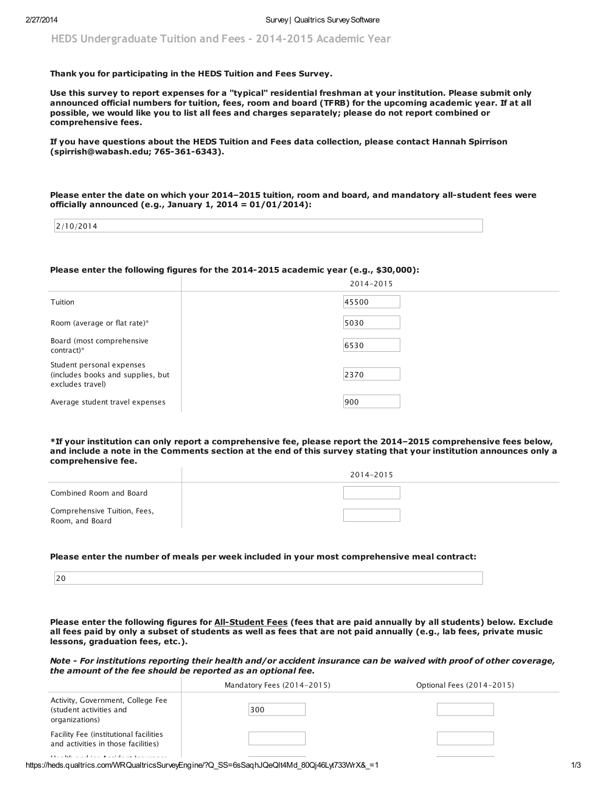HEDS Undergraduate Tuition and Fees - 2014-2015 Academic Year

# Thank you for participating in the HEDS Tuition and Fees Survey.

Use this survey to report expenses for a "typical" residential freshman at your institution. Please submit only announced official numbers for tuition, fees, room and board (TFRB) for the upcoming academic year. If at all possible, we would like you to list all fees and charges separately; please do not report combined or comprehensive fees.

If you have questions about the HEDS Tuition and Fees data collection, please contact Hannah Spirrison (spirrish@wabash.edu; 765-361-6343).

Please enter the date on which your 2014–2015 tuition, room and board, and mandatory all-student fees were officially announced (e.g., January 1, 2014 = 01/01/2014):

| 1.7014                     |  |  |
|----------------------------|--|--|
| 10/2017<br>$\sim$ $\prime$ |  |  |
|                            |  |  |
|                            |  |  |

# Please enter the following figures for the 2014-2015 academic year (e.g., \$30,000):

|                                                                                    | 2014-2015 |  |
|------------------------------------------------------------------------------------|-----------|--|
| Tuition                                                                            | 45500     |  |
| Room (average or flat rate)*                                                       | 5030      |  |
| Board (most comprehensive<br>$control^*$                                           | 6530      |  |
| Student personal expenses<br>(includes books and supplies, but<br>excludes travel) | 2370      |  |
| Average student travel expenses                                                    | 900       |  |

\*If your institution can only report a comprehensive fee, please report the 2014–2015 comprehensive fees below, and include a note in the Comments section at the end of this survey stating that your institution announces only a comprehensive fee.

|                                                 | 2014-2015 |  |
|-------------------------------------------------|-----------|--|
| Combined Room and Board                         |           |  |
| Comprehensive Tuition, Fees,<br>Room, and Board |           |  |

### Please enter the number of meals per week included in your most comprehensive meal contract:

Please enter the following figures for All-Student Fees (fees that are paid annually by all students) below. Exclude all fees paid by only a subset of students as well as fees that are not paid annually (e.g., lab fees, private music lessons, graduation fees, etc.).

Note - For institutions reporting their health and/or accident insurance can be waived with proof of other coverage, the amount of the fee should be reported as an optional fee.

|                                                                                | Mandatory Fees (2014-2015) | Optional Fees (2014-2015) |
|--------------------------------------------------------------------------------|----------------------------|---------------------------|
| Activity, Government, College Fee<br>(student activities and<br>organizations) | 300                        |                           |
| Facility Fee (institutional facilities<br>and activities in those facilities)  |                            |                           |
| $\sim$ 1                                                                       |                            |                           |

https://heds.qualtrics.com/WRQualtricsSurveyEngine/?Q\_SS=6sSaqhJQeQlt4Md\_80Qj46Lyt733WrX&\_=1 1/3 1/3